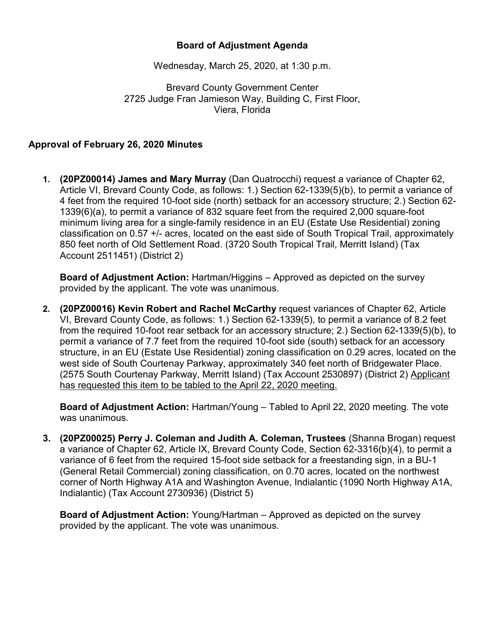## **Board of Adjustment Agenda**

Wednesday, March 25, 2020, at 1:30 p.m.

Brevard County Government Center 2725 Judge Fran Jamieson Way, Building C, First Floor, Viera, Florida

## **Approval of February 26, 2020 Minutes**

**1. (20PZ00014) James and Mary Murray** (Dan Quatrocchi) request a variance of Chapter 62, Article VI, Brevard County Code, as follows: 1.) Section 62-1339(5)(b), to permit a variance of 4 feet from the required 10-foot side (north) setback for an accessory structure; 2.) Section 62- 1339(6)(a), to permit a variance of 832 square feet from the required 2,000 square-foot minimum living area for a single-family residence in an EU (Estate Use Residential) zoning classification on 0.57 +/- acres, located on the east side of South Tropical Trail, approximately 850 feet north of Old Settlement Road. (3720 South Tropical Trail, Merritt Island) (Tax Account 2511451) (District 2)

**Board of Adjustment Action:** Hartman/Higgins – Approved as depicted on the survey provided by the applicant. The vote was unanimous.

**2. (20PZ00016) Kevin Robert and Rachel McCarthy** request variances of Chapter 62, Article VI, Brevard County Code, as follows: 1.) Section 62-1339(5), to permit a variance of 8.2 feet from the required 10-foot rear setback for an accessory structure; 2.) Section 62-1339(5)(b), to permit a variance of 7.7 feet from the required 10-foot side (south) setback for an accessory structure, in an EU (Estate Use Residential) zoning classification on 0.29 acres, located on the west side of South Courtenay Parkway, approximately 340 feet north of Bridgewater Place. (2575 South Courtenay Parkway, Merritt Island) (Tax Account 2530897) (District 2) Applicant has requested this item to be tabled to the April 22, 2020 meeting.

**Board of Adjustment Action:** Hartman/Young – Tabled to April 22, 2020 meeting. The vote was unanimous.

**3. (20PZ00025) Perry J. Coleman and Judith A. Coleman, Trustees** (Shanna Brogan) request a variance of Chapter 62, Article IX, Brevard County Code, Section 62-3316(b)(4), to permit a variance of 6 feet from the required 15-foot side setback for a freestanding sign, in a BU-1 (General Retail Commercial) zoning classification, on 0.70 acres, located on the northwest corner of North Highway A1A and Washington Avenue, Indialantic (1090 North Highway A1A, Indialantic) (Tax Account 2730936) (District 5)

**Board of Adjustment Action:** Young/Hartman – Approved as depicted on the survey provided by the applicant. The vote was unanimous.